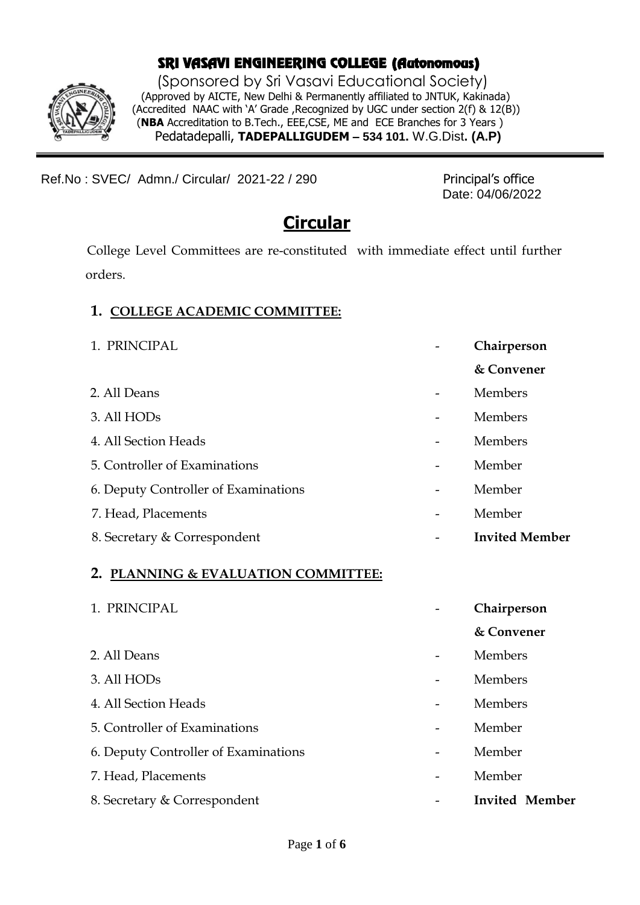## SRI VASAVI ENGINEERING COLLEGE (Autonomous)

 (Sponsored by Sri Vasavi Educational Society) (Approved by AICTE, New Delhi & Permanently affiliated to JNTUK, Kakinada) (Accredited NAAC with 'A' Grade ,Recognized by UGC under section 2(f) & 12(B)) (**NBA** Accreditation to B.Tech., EEE,CSE, ME and ECE Branches for 3 Years ) Pedatadepalli, **TADEPALLIGUDEM – 534 101.** W.G.Dist**. (A.P)**

Ref.No: SVEC/ Admn./ Circular/ 2021-22 / 290 Principal's office

Date: 04/06/2022

# **Circular**

College Level Committees are re-constituted with immediate effect until further orders.

#### **1. COLLEGE ACADEMIC COMMITTEE:**

1. PRINCIPAL **- Chairperson & Convener** 2. All Deans **-** Members 3. All HODs - Members 4. All Section Heads - Members 5. Controller of Examinations - Member 6. Deputy Controller of Examinations - Member 7. Head, Placements - Member 8. Secretary & Correspondent **and Community Community 1 Invited Member** 

#### **2. PLANNING & EVALUATION COMMITTEE:**

| 1. PRINCIPAL                         | Chairperson           |
|--------------------------------------|-----------------------|
|                                      | & Convener            |
| 2. All Deans                         | Members               |
| 3. All HODs                          | Members               |
| 4. All Section Heads                 | Members               |
| 5. Controller of Examinations        | Member                |
| 6. Deputy Controller of Examinations | Member                |
| 7. Head, Placements                  | Member                |
| 8. Secretary & Correspondent         | <b>Invited Member</b> |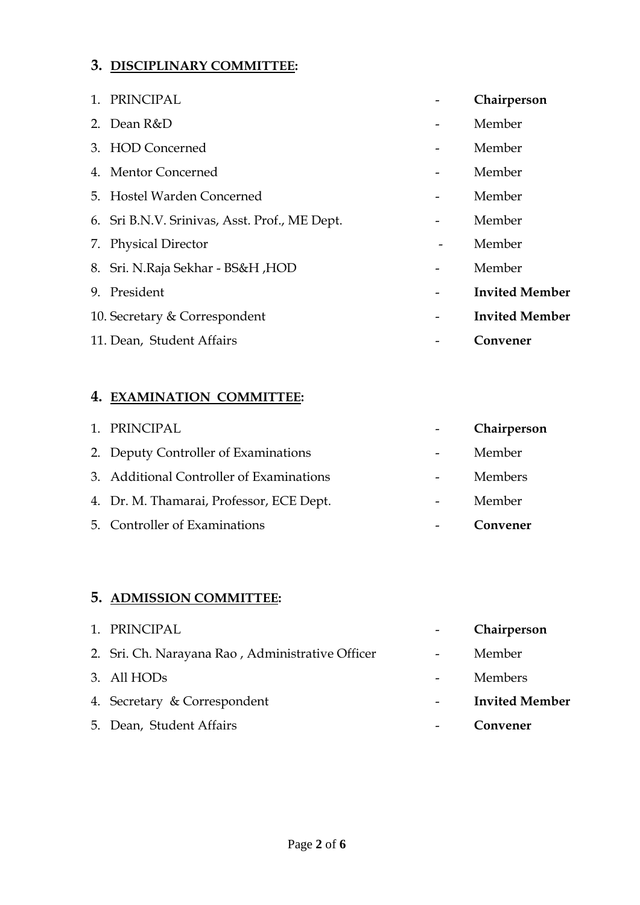#### **3. DISCIPLINARY COMMITTEE:**

| 1. PRINCIPAL                                  | Chairperson           |
|-----------------------------------------------|-----------------------|
| 2. Dean R&D                                   | Member                |
| 3. HOD Concerned                              | Member                |
| 4. Mentor Concerned                           | Member                |
| 5. Hostel Warden Concerned                    | Member                |
| 6. Sri B.N.V. Srinivas, Asst. Prof., ME Dept. | Member                |
| 7. Physical Director                          | Member                |
| 8. Sri. N. Raja Sekhar - BS&H, HOD            | Member                |
| 9. President                                  | <b>Invited Member</b> |
| 10. Secretary & Correspondent                 | <b>Invited Member</b> |
| 11. Dean, Student Affairs                     | Convener              |

## **4. EXAMINATION COMMITTEE:**

| 1. PRINCIPAL                             |                | Chairperson    |
|------------------------------------------|----------------|----------------|
| 2. Deputy Controller of Examinations     | $\blacksquare$ | Member         |
| 3. Additional Controller of Examinations |                | <b>Members</b> |
| 4. Dr. M. Thamarai, Professor, ECE Dept. |                | Member         |
| 5. Controller of Examinations            |                | Convener       |

## **5. ADMISSION COMMITTEE:**

| 1. PRINCIPAL                                     | Chairperson           |
|--------------------------------------------------|-----------------------|
| 2. Sri. Ch. Narayana Rao, Administrative Officer | Member                |
| 3. All HODs                                      | Members               |
| 4. Secretary & Correspondent                     | <b>Invited Member</b> |
| 5. Dean, Student Affairs                         | Convener              |
|                                                  |                       |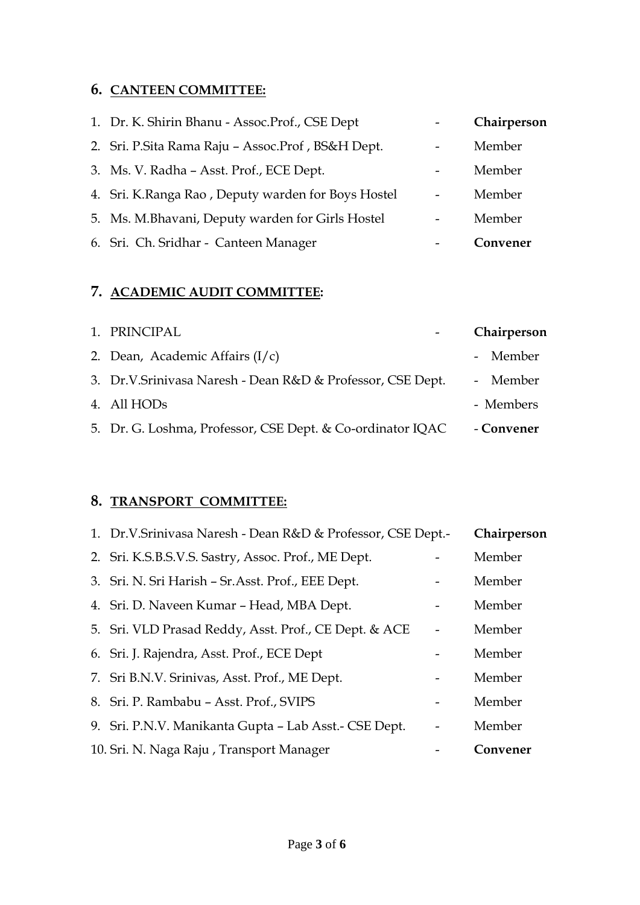## **6. CANTEEN COMMITTEE:**

| 1. Dr. K. Shirin Bhanu - Assoc.Prof., CSE Dept     |                          | Chairperson |
|----------------------------------------------------|--------------------------|-------------|
| 2. Sri. P.Sita Rama Raju - Assoc.Prof, BS&H Dept.  | $\overline{\phantom{a}}$ | Member      |
| 3. Ms. V. Radha - Asst. Prof., ECE Dept.           |                          | Member      |
| 4. Sri. K.Ranga Rao, Deputy warden for Boys Hostel | $\overline{a}$           | Member      |
| 5. Ms. M.Bhavani, Deputy warden for Girls Hostel   |                          | Member      |
| 6. Sri. Ch. Sridhar - Canteen Manager              |                          | Convener    |

## **7. ACADEMIC AUDIT COMMITTEE:**

| 1. PRINCIPAL                                               | Chairperson |
|------------------------------------------------------------|-------------|
| 2. Dean, Academic Affairs $(I/c)$                          | - Member    |
| 3. Dr.V.Srinivasa Naresh - Dean R&D & Professor, CSE Dept. | - Member    |
| 4. All HODs                                                | - Members   |
| 5. Dr. G. Loshma, Professor, CSE Dept. & Co-ordinator IQAC | - Convener  |
|                                                            |             |

## **8. TRANSPORT COMMITTEE:**

| 1. Dr.V.Srinivasa Naresh - Dean R&D & Professor, CSE Dept.- | Chairperson |
|-------------------------------------------------------------|-------------|
| 2. Sri. K.S.B.S.V.S. Sastry, Assoc. Prof., ME Dept.         | Member      |
| 3. Sri. N. Sri Harish - Sr. Asst. Prof., EEE Dept.          | Member      |
| 4. Sri. D. Naveen Kumar - Head, MBA Dept.                   | Member      |
| 5. Sri. VLD Prasad Reddy, Asst. Prof., CE Dept. & ACE       | Member      |
| 6. Sri. J. Rajendra, Asst. Prof., ECE Dept                  | Member      |
| 7. Sri B.N.V. Srinivas, Asst. Prof., ME Dept.               | Member      |
| 8. Sri. P. Rambabu - Asst. Prof., SVIPS                     | Member      |
| 9. Sri. P.N.V. Manikanta Gupta - Lab Asst.- CSE Dept.       | Member      |
| 10. Sri. N. Naga Raju, Transport Manager                    | Convener    |
|                                                             |             |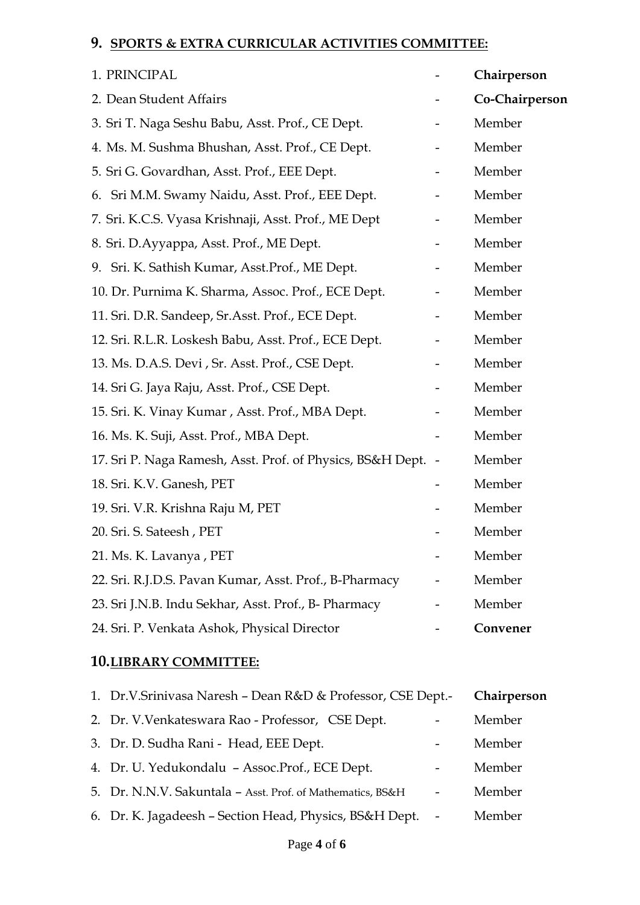## **9. SPORTS & EXTRA CURRICULAR ACTIVITIES COMMITTEE:**

| 1. PRINCIPAL                                                 | Chairperson    |
|--------------------------------------------------------------|----------------|
| 2. Dean Student Affairs                                      | Co-Chairperson |
| 3. Sri T. Naga Seshu Babu, Asst. Prof., CE Dept.             | Member         |
| 4. Ms. M. Sushma Bhushan, Asst. Prof., CE Dept.              | Member         |
| 5. Sri G. Govardhan, Asst. Prof., EEE Dept.                  | Member         |
| 6. Sri M.M. Swamy Naidu, Asst. Prof., EEE Dept.              | Member         |
| 7. Sri. K.C.S. Vyasa Krishnaji, Asst. Prof., ME Dept         | Member         |
| 8. Sri. D.Ayyappa, Asst. Prof., ME Dept.                     | Member         |
| 9. Sri. K. Sathish Kumar, Asst. Prof., ME Dept.              | Member         |
| 10. Dr. Purnima K. Sharma, Assoc. Prof., ECE Dept.           | Member         |
| 11. Sri. D.R. Sandeep, Sr.Asst. Prof., ECE Dept.             | Member         |
| 12. Sri. R.L.R. Loskesh Babu, Asst. Prof., ECE Dept.         | Member         |
| 13. Ms. D.A.S. Devi, Sr. Asst. Prof., CSE Dept.              | Member         |
| 14. Sri G. Jaya Raju, Asst. Prof., CSE Dept.                 | Member         |
| 15. Sri. K. Vinay Kumar, Asst. Prof., MBA Dept.              | Member         |
| 16. Ms. K. Suji, Asst. Prof., MBA Dept.                      | Member         |
| 17. Sri P. Naga Ramesh, Asst. Prof. of Physics, BS&H Dept. - | Member         |
| 18. Sri. K.V. Ganesh, PET                                    | Member         |
| 19. Sri. V.R. Krishna Raju M, PET                            | Member         |
| 20. Sri. S. Sateesh, PET                                     | Member         |
| 21. Ms. K. Lavanya, PET                                      | Member         |
| 22. Sri. R.J.D.S. Pavan Kumar, Asst. Prof., B-Pharmacy       | Member         |
| 23. Sri J.N.B. Indu Sekhar, Asst. Prof., B- Pharmacy         | Member         |
| 24. Sri. P. Venkata Ashok, Physical Director                 | Convener       |

## **10.LIBRARY COMMITTEE:**

| 1. Dr.V.Srinivasa Naresh - Dean R&D & Professor, CSE Dept.- |                          | Chairperson |
|-------------------------------------------------------------|--------------------------|-------------|
| 2. Dr. V. Venkateswara Rao - Professor, CSE Dept.           | $\overline{\phantom{a}}$ | Member      |
| 3. Dr. D. Sudha Rani - Head, EEE Dept.                      | $\overline{\phantom{a}}$ | Member      |
| 4. Dr. U. Yedukondalu - Assoc.Prof., ECE Dept.              | $\overline{\phantom{a}}$ | Member      |
| 5. Dr. N.N.V. Sakuntala - Asst. Prof. of Mathematics, BS&H  |                          | Member      |
| 6. Dr. K. Jagadeesh - Section Head, Physics, BS&H Dept.     |                          | Member      |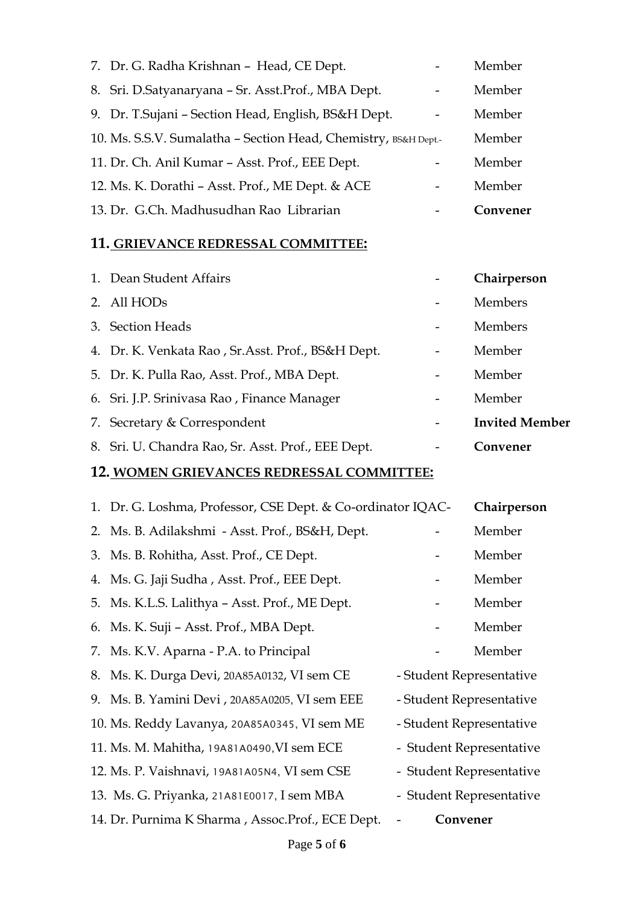| 7. Dr. G. Radha Krishnan - Head, CE Dept.                       | Member   |
|-----------------------------------------------------------------|----------|
| 8. Sri. D.Satyanaryana - Sr. Asst.Prof., MBA Dept.              | Member   |
| 9. Dr. T.Sujani - Section Head, English, BS&H Dept.             | Member   |
| 10. Ms. S.S.V. Sumalatha - Section Head, Chemistry, BS&H Dept.- | Member   |
| 11. Dr. Ch. Anil Kumar - Asst. Prof., EEE Dept.                 | Member   |
| 12. Ms. K. Dorathi - Asst. Prof., ME Dept. & ACE                | Member   |
| 13. Dr. G.Ch. Madhusudhan Rao Librarian                         | Convener |

## **11. GRIEVANCE REDRESSAL COMMITTEE:**

| 1. Dean Student Affairs                            | Chairperson           |
|----------------------------------------------------|-----------------------|
| 2. All HODs                                        | <b>Members</b>        |
| 3. Section Heads                                   | <b>Members</b>        |
| 4. Dr. K. Venkata Rao, Sr. Asst. Prof., BS&H Dept. | Member                |
| 5. Dr. K. Pulla Rao, Asst. Prof., MBA Dept.        | Member                |
| 6. Sri. J.P. Srinivasa Rao, Finance Manager        | Member                |
| 7. Secretary & Correspondent                       | <b>Invited Member</b> |
| 8. Sri. U. Chandra Rao, Sr. Asst. Prof., EEE Dept. | Convener              |
|                                                    |                       |

## **12. WOMEN GRIEVANCES REDRESSAL COMMITTEE:**

| 1. Dr. G. Loshma, Professor, CSE Dept. & Co-ordinator IQAC- |          | Chairperson              |
|-------------------------------------------------------------|----------|--------------------------|
| 2. Ms. B. Adilakshmi - Asst. Prof., BS&H, Dept.             |          | Member                   |
| 3. Ms. B. Rohitha, Asst. Prof., CE Dept.                    |          | Member                   |
| 4. Ms. G. Jaji Sudha, Asst. Prof., EEE Dept.                |          | Member                   |
| 5. Ms. K.L.S. Lalithya - Asst. Prof., ME Dept.              |          | Member                   |
| 6. Ms. K. Suji – Asst. Prof., MBA Dept.                     |          | Member                   |
| 7. Ms. K.V. Aparna - P.A. to Principal                      |          | Member                   |
| 8. Ms. K. Durga Devi, 20A85A0132, VI sem CE                 |          | - Student Representative |
| 9. Ms. B. Yamini Devi, 20A85A0205, VI sem EEE               |          | - Student Representative |
| 10. Ms. Reddy Lavanya, 20A85A0345, VI sem ME                |          | - Student Representative |
| 11. Ms. M. Mahitha, 19A81A0490, VI sem ECE                  |          | - Student Representative |
| 12. Ms. P. Vaishnavi, 19A81A05N4, VI sem CSE                |          | - Student Representative |
| 13. Ms. G. Priyanka, 21A81E0017, I sem MBA                  |          | - Student Representative |
| 14. Dr. Purnima K Sharma, Assoc.Prof., ECE Dept.            | Convener |                          |